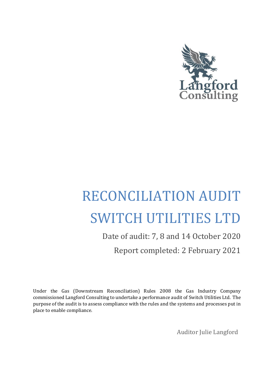

# RECONCILIATION AUDIT SWITCH UTILITIES LTD

# Date of audit: 7, 8 and 14 October 2020 Report completed: 2 February 2021

Under the Gas (Downstream Reconciliation) Rules 2008 the Gas Industry Company commissioned Langford Consulting to undertake a performance audit of Switch Utilities Ltd. The purpose of the audit is to assess compliance with the rules and the systems and processes put in place to enable compliance.

Auditor Julie Langford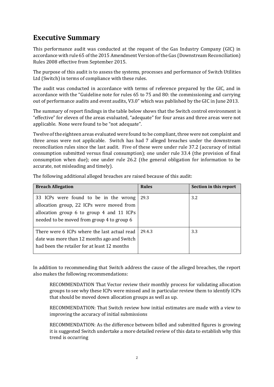# <span id="page-1-0"></span>**Executive Summary**

This performance audit was conducted at the request of the Gas Industry Company (GIC) in accordance with rule 65 of the 2015 Amendment Version of the Gas (Downstream Reconciliation) Rules 2008 effective from September 2015.

The purpose of this audit is to assess the systems, processes and performance of Switch Utilities Ltd (Switch) in terms of compliance with these rules.

The audit was conducted in accordance with terms of reference prepared by the GIC, and in accordance with the "Guideline note for rules 65 to 75 and 80: the commissioning and carrying out of performance audits and event audits, V3.0" which was published by the GIC in June 2013.

The summary of report findings in the table below shows that the Switch control environment is "effective" for eleven of the areas evaluated, "adequate" for four areas and three areas were not applicable. None were found to be "not adequate".

Twelve of the eighteen areas evaluated were found to be compliant, three were not complaint and three areas were not applicable. Switch has had 7 alleged breaches under the downstream reconciliation rules since the last audit. Five of these were under rule 37.2 (accuracy of initial consumption submitted versus final consumption); one under rule 33.4 (the provision of final consumption when due); one under rule 26.2 (the general obligation for information to be accurate, not misleading and timely).

| <b>Breach Allegation</b>                                                                                                                                                      | <b>Rules</b> | Section in this report |
|-------------------------------------------------------------------------------------------------------------------------------------------------------------------------------|--------------|------------------------|
| 33 ICPs were found to be in the wrong<br>allocation group, 22 ICPs were moved from<br>allocation group 6 to group 4 and 11 ICPs<br>needed to be moved from group 4 to group 6 | 29.3         | 3.2                    |
| There were 6 ICPs where the last actual read<br>date was more than 12 months ago and Switch<br>had been the retailer for at least 12 months                                   | 29.4.3       | 3.3                    |

The following additional alleged breaches are raised because of this audit:

In addition to recommending that Switch address the cause of the alleged breaches, the report also makes the following recommendations:

RECOMMENDATION That Vector review their monthly process for validating allocation groups to see why these ICPs were missed and in particular review them to identify ICPs that should be moved down allocation groups as well as up.

RECOMMENDATION: That Switch review how initial estimates are made with a view to improving the accuracy of initial submissions

RECOMMENDATION: As the difference between billed and submitted figures is growing it is suggested Switch undertake a more detailed review of this data to establish why this trend is occurring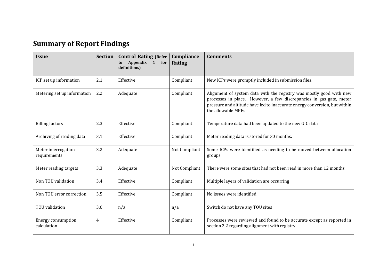# **Summary of Report Findings**

<span id="page-2-0"></span>

| <b>Issue</b>                             | <b>Section</b> | <b>Control Rating (Refer</b><br>Appendix<br>1<br>for<br>to<br>definitions) | Compliance<br>Rating | <b>Comments</b>                                                                                                                                                                                                                                |
|------------------------------------------|----------------|----------------------------------------------------------------------------|----------------------|------------------------------------------------------------------------------------------------------------------------------------------------------------------------------------------------------------------------------------------------|
| ICP set up information                   | 2.1            | Effective                                                                  | Compliant            | New ICPs were promptly included in submission files.                                                                                                                                                                                           |
| Metering set up information              | 2.2            | Adequate                                                                   | Compliant            | Alignment of system data with the registry was mostly good with new<br>processes in place. However, a few discrepancies in gas gate, meter<br>pressure and altitude have led to inaccurate energy conversion, but within<br>the allowable MPEs |
| <b>Billing factors</b>                   | 2.3            | Effective                                                                  | Compliant            | Temperature data had been updated to the new GIC data                                                                                                                                                                                          |
| Archiving of reading data                | 3.1            | Effective                                                                  | Compliant            | Meter reading data is stored for 30 months.                                                                                                                                                                                                    |
| Meter interrogation<br>requirements      | 3.2            | Adequate                                                                   | Not Compliant        | Some ICPs were identified as needing to be moved between allocation<br>groups                                                                                                                                                                  |
| Meter reading targets                    | 3.3            | Adequate                                                                   | Not Compliant        | There were some sites that had not been read in more than 12 months                                                                                                                                                                            |
| Non TOU validation                       | 3.4            | Effective                                                                  | Compliant            | Multiple layers of validation are occurring                                                                                                                                                                                                    |
| Non TOU error correction                 | 3.5            | Effective                                                                  | Compliant            | No issues were identified                                                                                                                                                                                                                      |
| TOU validation                           | 3.6            | n/a                                                                        | n/a                  | Switch do not have any TOU sites                                                                                                                                                                                                               |
| <b>Energy consumption</b><br>calculation | $\overline{4}$ | Effective                                                                  | Compliant            | Processes were reviewed and found to be accurate except as reported in<br>section 2.2 regarding alignment with registry                                                                                                                        |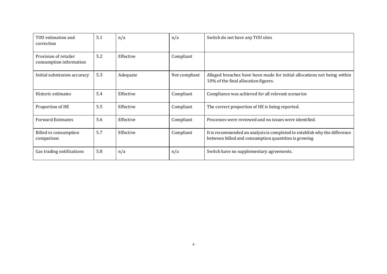| TOU estimation and<br>correction                 | 5.1 | n/a       | n/a           | Switch do not have any TOU sites                                                                                                   |
|--------------------------------------------------|-----|-----------|---------------|------------------------------------------------------------------------------------------------------------------------------------|
| Provision of retailer<br>consumption information | 5.2 | Effective | Compliant     |                                                                                                                                    |
| Initial submission accuracy                      | 5.3 | Adequate  | Not compliant | Alleged breaches have been made for initial allocations not being within<br>10% of the final allocation figures.                   |
| Historic estimates                               | 5.4 | Effective | Compliant     | Compliance was achieved for all relevant scenarios                                                                                 |
| Proportion of HE                                 | 5.5 | Effective | Compliant     | The correct proportion of HE is being reported.                                                                                    |
| <b>Forward Estimates</b>                         | 5.6 | Effective | Compliant     | Processes were reviewed and no issues were identified.                                                                             |
| <b>Billed vs consumption</b><br>comparison       | 5.7 | Effective | Compliant     | It is recommended an analysis is completed to establish why the difference<br>between billed and consumption quantities is growing |
| Gas trading notifications                        | 5.8 | n/a       | n/a           | Switch have no supplementary agreements.                                                                                           |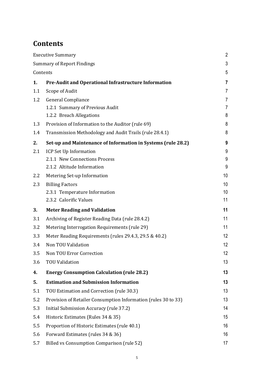# <span id="page-4-0"></span>**Contents**

|     | <b>Executive Summary</b>                                       | $\overline{2}$  |
|-----|----------------------------------------------------------------|-----------------|
|     | <b>Summary of Report Findings</b>                              | 3               |
|     | Contents                                                       | 5               |
| 1.  | Pre-Audit and Operational Infrastructure Information           | $\overline{7}$  |
| 1.1 | Scope of Audit                                                 | $\overline{7}$  |
| 1.2 | <b>General Compliance</b>                                      | 7               |
|     | 1.2.1 Summary of Previous Audit                                | $\overline{7}$  |
|     | 1.2.2 Breach Allegations                                       | 8               |
| 1.3 | Provision of Information to the Auditor (rule 69)              | 8               |
| 1.4 | Transmission Methodology and Audit Trails (rule 28.4.1)        | 8               |
| 2.  | Set-up and Maintenance of Information in Systems (rule 28.2)   | 9               |
| 2.1 | ICP Set Up Information                                         | 9               |
|     | 2.1.1 New Connections Process                                  | 9               |
|     | 2.1.2 Altitude Information                                     | 9               |
| 2.2 | Metering Set-up Information                                    | 10 <sup>°</sup> |
| 2.3 | <b>Billing Factors</b>                                         | 10              |
|     | 2.3.1 Temperature Information                                  | 10              |
|     | 2.3.2 Calorific Values                                         | 11              |
| 3.  | <b>Meter Reading and Validation</b>                            | 11              |
| 3.1 | Archiving of Register Reading Data (rule 28.4.2)               | 11              |
| 3.2 | Metering Interrogation Requirements (rule 29)                  | 11              |
| 3.3 | Meter Reading Requirements (rules 29.4.3, 29.5 & 40.2)         | 12              |
| 3.4 | Non TOU Validation                                             | 12              |
| 3.5 | Non TOU Error Correction                                       | 12              |
| 3.6 | <b>TOU Validation</b>                                          | 13              |
| 4.  | <b>Energy Consumption Calculation (rule 28.2)</b>              | 13              |
| 5.  | <b>Estimation and Submission Information</b>                   | 13              |
| 5.1 | TOU Estimation and Correction (rule 30.3)                      | 13              |
| 5.2 | Provision of Retailer Consumption Information (rules 30 to 33) | 13              |
| 5.3 | Initial Submission Accuracy (rule 37.2)                        | 14              |
| 5.4 | Historic Estimates (Rules 34 & 35)                             | 15              |
| 5.5 | Proportion of Historic Estimates (rule 40.1)                   | 16              |
| 5.6 | Forward Estimates (rules 34 & 36)                              | 16              |
| 5.7 | Billed vs Consumption Comparison (rule 52)                     | 17              |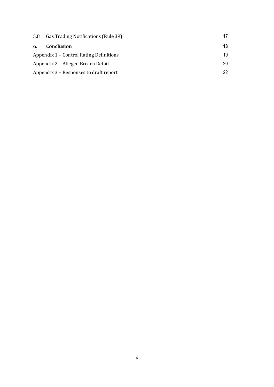| 5.8 | Gas Trading Notifications (Rule 39)     |    |
|-----|-----------------------------------------|----|
| 6.  | <b>Conclusion</b>                       | 18 |
|     | Appendix 1 – Control Rating Definitions | 19 |
|     | Appendix 2 – Alleged Breach Detail      | 20 |
|     | Appendix 3 – Responses to draft report  | 22 |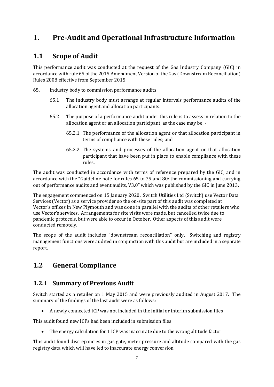# <span id="page-6-0"></span>**1. Pre-Audit and Operational Infrastructure Information**

#### <span id="page-6-1"></span>**1.1 Scope of Audit**

This performance audit was conducted at the request of the Gas Industry Company (GIC) in accordance with rule 65 of the 2015 Amendment Version of the Gas (Downstream Reconciliation) Rules 2008 effective from September 2015.

- 65. Industry body to commission performance audits
	- 65.1 The industry body must arrange at regular intervals performance audits of the allocation agent and allocation participants.
	- 65.2 The purpose of a performance audit under this rule is to assess in relation to the allocation agent or an allocation participant, as the case may be, -
		- 65.2.1 The performance of the allocation agent or that allocation participant in terms of compliance with these rules; and
		- 65.2.2 The systems and processes of the allocation agent or that allocation participant that have been put in place to enable compliance with these rules.

The audit was conducted in accordance with terms of reference prepared by the GIC, and in accordance with the "Guideline note for rules 65 to 75 and 80: the commissioning and carrying out of performance audits and event audits, V3.0" which was published by the GIC in June 2013.

The engagement commenced on 15 January 2020. Switch Utilities Ltd (Switch) use Vector Data Services (Vector) as a service provider so the on-site part of this audit was completed at Vector's offices in New Plymouth and was done in parallel with the audits of other retailers who use Vector's services. Arrangements for site visits were made, but cancelled twice due to pandemic protocols, but were able to occur in October. Other aspects of this audit were conducted remotely.

The scope of the audit includes "downstream reconciliation" only. Switching and registry management functions were audited in conjunction with this audit but are included in a separate report.

#### <span id="page-6-2"></span>**1.2 General Compliance**

#### <span id="page-6-3"></span>**1.2.1 Summary of Previous Audit**

Switch started as a retailer on 1 May 2015 and were previously audited in August 2017. The summary of the findings of the last audit were as follows:

• A newly connected ICP was not included in the initial or interim submission files

This audit found new ICPs had been included in submission files

• The energy calculation for 1 ICP was inaccurate due to the wrong altitude factor

This audit found discrepancies in gas gate, meter pressure and altitude compared with the gas registry data which will have led to inaccurate energy conversion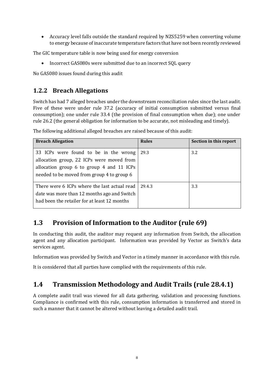• Accuracy level falls outside the standard required by NZS5259 when converting volume to energy because of inaccurate temperature factors that have not been recently reviewed

The GIC temperature table is now being used for energy conversion

• Incorrect GAS080s were submitted due to an incorrect SQL query

No GAS080 issues found during this audit

#### <span id="page-7-0"></span>**1.2.2 Breach Allegations**

Switch has had 7 alleged breaches under the downstream reconciliation rules since the last audit. Five of these were under rule 37.2 (accuracy of initial consumption submitted versus final consumption); one under rule 33.4 (the provision of final consumption when due); one under rule 26.2 (the general obligation for information to be accurate, not misleading and timely).

| <b>Breach Allegation</b>                                                                                                                                                      | <b>Rules</b> | Section in this report |
|-------------------------------------------------------------------------------------------------------------------------------------------------------------------------------|--------------|------------------------|
| 33 ICPs were found to be in the wrong<br>allocation group, 22 ICPs were moved from<br>allocation group 6 to group 4 and 11 ICPs<br>needed to be moved from group 4 to group 6 | 29.3         | 3.2                    |
| There were 6 ICPs where the last actual read<br>date was more than 12 months ago and Switch<br>had been the retailer for at least 12 months                                   | 29.4.3       | 3.3                    |

The following additional alleged breaches are raised because of this audit:

#### <span id="page-7-1"></span>**1.3 Provision of Information to the Auditor (rule 69)**

In conducting this audit, the auditor may request any information from Switch, the allocation agent and any allocation participant. Information was provided by Vector as Switch's data services agent.

Information was provided by Switch and Vector in a timely manner in accordance with this rule.

It is considered that all parties have complied with the requirements of this rule.

#### <span id="page-7-2"></span>**1.4 Transmission Methodology and Audit Trails (rule 28.4.1)**

A complete audit trail was viewed for all data gathering, validation and processing functions. Compliance is confirmed with this rule, consumption information is transferred and stored in such a manner that it cannot be altered without leaving a detailed audit trail.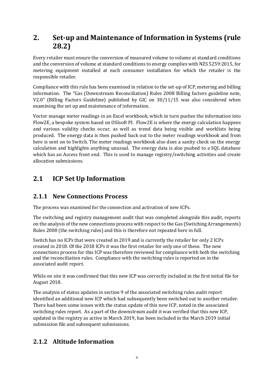## <span id="page-8-0"></span>**2. Set-up and Maintenance of Information in Systems (rule 28.2)**

Every retailer must ensure the conversion of measured volume to volume at standard conditions and the conversion of volume at standard conditions to energy complies with NZS 5259:2015, for metering equipment installed at each consumer installation for which the retailer is the responsible retailer.

Compliance with this rule has been examined in relation to the set-up of ICP, metering and billing information. The "Gas (Downstream Reconciliation) Rules 2008 Billing factors guideline note, V2.0" (Billing Factors Guideline) published by GIC on 30/11/15 was also considered when examining the set up and maintenance of information.

Vector manage meter readings in an Excel workbook, which in turn pushes the information into Flow2E, a bespoke system based on OSIsoft PI. Flow2E is where the energy calculation happens and various validity checks occur, as well as trend data being visible and worklists being produced. The energy data is then pushed back out to the meter readings workbook and from here is sent on to Switch. The meter readings workbook also does a sanity check on the energy calculation and highlights anything unusual. The energy data is also pushed to a SQL database which has an Access front end. This is used to manage registry/switching activities and create allocation submissions.

## <span id="page-8-1"></span>**2.1 ICP Set Up Information**

#### <span id="page-8-2"></span>**2.1.1 New Connections Process**

The process was examined for the connection and activation of new ICPs.

The switching and registry management audit that was completed alongside this audit, reports on the analysis of the new connections process with respect to the Gas (Switching Arrangements) Rules 2008 (the switching rules) and this is therefore not repeated here in full.

Switch has no ICPs that were created in 2019 and is currently the retailer for only 2 ICPs created in 2018. Of the 2018 ICPs it was the first retailer for only one of these. The new connections process for this ICP was therefore reviewed for compliance with both the switching and the reconciliation rules. Compliance with the switching rules is reported on in the associated audit report.

While on site it was confirmed that this new ICP was correctly included in the first initial file for August 2018.

The analysis of status updates in section 9 of the associated switching rules audit report identified an additional new ICP which had subsequently been switched out to another retailer. There had been some issues with the status update of this new ICP, noted in the associated switching rules report. As a part of the downstream audit it was verified that this new ICP, updated in the registry as active in March 2019, has been included in the March 2019 initial submission file and subsequent submissions.

#### <span id="page-8-3"></span>**2.1.2 Altitude Information**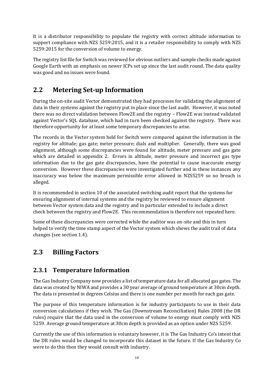It is a distributor responsibility to populate the registry with correct altitude information to support compliance with NZS 5259:2015, and it is a retailer responsibility to comply with NZS 5259:2015 for the conversion of volume to energy.

The registry list file for Switch was reviewed for obvious outliers and sample checks made against Google Earth with an emphasis on newer ICPs set up since the last audit round. The data quality was good and no issues were found.

#### <span id="page-9-0"></span>**2.2 Metering Set-up Information**

During the on-site audit Vector demonstrated they had processes for validating the alignment of data in their systems against the registry put in place since the last audit. However, it was noted there was no direct validation between Flow2E and the registry – Flow2E was instead validated against Vector's SQL database, which had in turn been checked against the registry. There was therefore opportunity for at least some temporary discrepancies to arise.

The records in the Vector system held for Switch were compared against the information in the registry for altitude; gas gate; meter pressure; dials and multiplier. Generally, there was good alignment, although some discrepancies were found for altitude, meter pressure and gas gate which are detailed in appendix 2. Errors in altitude, meter pressure and incorrect gas type information due to the gas gate discrepancies, have the potential to cause inaccurate energy conversion. However these discrepancies were investigated further and in these instances any inaccuracy was below the maximum permissible error allowed in NZS5259 so no breach is alleged.

It is recommended in section 10 of the associated switching audit report that the systems for ensuring alignment of internal systems and the registry be reviewed to ensure alignment between Vector system data and the registry and in particular extended to include a direct check between the registry and Flow2E. This recommendation is therefore not repeated here.

Some of these discrepancies were corrected while the auditor was on-site and this in turn helped to verify the time stamp aspect of the Vector system which shows the audit trail of data changes (see section 1.4).

# <span id="page-9-1"></span>**2.3 Billing Factors**

#### <span id="page-9-2"></span>**2.3.1 Temperature Information**

The Gas Industry Company now provides a list of temperature data for all allocated gas gates. The data was created by NIWA and provides a 30 year average of ground temperature at 30cm depth. The data is presented in degrees Celsius and there is one number per month for each gas gate.

The purpose of this temperature information is for industry participants to use in their data conversion calculations if they wish. The Gas (Downstream Reconciliation) Rules 2008 (the DR rules) require that the data used in the conversion of volume to energy must comply with NZS 5259. Average ground temperature at 30cm depth is provided as an option under NZS 5259.

Currently the use of this information is voluntary however, it is The Gas Industry Co's intent that the DR rules would be changed to incorporate this dataset in the future. If the Gas Industry Co were to do this then they would consult with industry.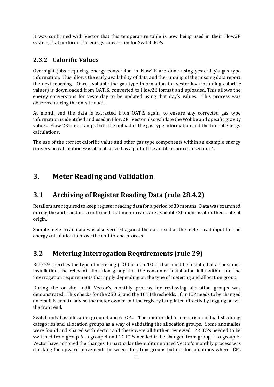It was confirmed with Vector that this temperature table is now being used in their Flow2E system, that performs the energy conversion for Switch ICPs.

#### <span id="page-10-0"></span>**2.3.2 Calorific Values**

Overnight jobs requiring energy conversion in Flow2E are done using yesterday's gas type information. This allows the early availability of data and the running of the missing data report the next morning. Once available the gas type information for yesterday (including calorific values) is downloaded from OATIS, converted to Flow2E format and uploaded. This allows the energy conversions for yesterday to be updated using that day's values. This process was observed during the on-site audit.

At month end the data is extracted from OATIS again, to ensure any corrected gas type information is identified and used in Flow2E. Vector also validate the Wobbe and specific gravity values. Flow 2E time stamps both the upload of the gas type information and the trail of energy calculations.

The use of the correct calorific value and other gas type components within an example energy conversion calculation was also observed as a part of the audit, as noted in section 4.

# <span id="page-10-1"></span>**3. Meter Reading and Validation**

# <span id="page-10-2"></span>**3.1 Archiving of Register Reading Data (rule 28.4.2)**

Retailers are required to keep register reading data for a period of 30 months. Data was examined during the audit and it is confirmed that meter reads are available 30 months after their date of origin.

Sample meter read data was also verified against the data used as the meter read input for the energy calculation to prove the end-to-end process.

# <span id="page-10-3"></span>**3.2 Metering Interrogation Requirements (rule 29)**

Rule 29 specifies the type of metering (TOU or non-TOU) that must be installed at a consumer installation, the relevant allocation group that the consumer installation falls within and the interrogation requirements that apply depending on the type of metering and allocation group.

During the on-site audit Vector's monthly process for reviewing allocation groups was demonstrated. This checks for the 250 GJ and the 10 TJ thresholds. If an ICP needs to be changed an email is sent to advise the meter owner and the registry is updated directly by logging on via the front end.

Switch only has allocation group 4 and 6 ICPs. The auditor did a comparison of load shedding categories and allocation groups as a way of validating the allocation groups. Some anomalies were found and shared with Vector and these were all further reviewed. 22 ICPs needed to be switched from group 6 to group 4 and 11 ICPs needed to be changed from group 4 to group 6. Vector have actioned the changes. In particular the auditor noticed Vector's monthly process was checking for upward movements between allocation groups but not for situations where ICPs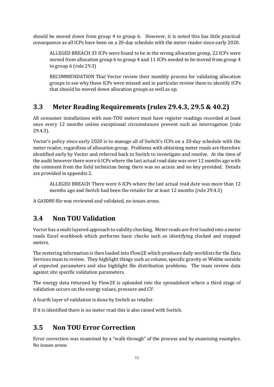should be moved down from group 4 to group 6. However, it is noted this has little practical consequence as all ICPs have been on a 20-day schedule with the meter reader since early 2020.

ALLEGED BREACH 33 ICPs were found to be in the wrong allocation group, 22 ICPs were moved from allocation group 6 to group 4 and 11 ICPs needed to be moved from group 4 to group 6 (rule 29.3)

RECOMMENDATION That Vector review their monthly process for validating allocation groups to see why these ICPs were missed and in particular review them to identify ICPs that should be moved down allocation groups as well as up.

# <span id="page-11-0"></span>**3.3 Meter Reading Requirements (rules 29.4.3, 29.5 & 40.2)**

All consumer installations with non-TOU meters must have register readings recorded at least once every 12 months unless exceptional circumstances prevent such an interrogation (rule 29.4.3).

Vector's policy since early 2020 is to manage all of Switch's ICPs on a 20-day schedule with the meter reader, regardless of allocation group. Problems with obtaining meter reads are therefore identified early by Vector and referred back to Switch to investigate and resolve. At the time of the audit however there were 6 ICPs where the last actual read date was over 12 months ago with the comment from the field technician being there was no access and no key provided. Details are provided in appendix 2.

ALLEGED BREACH There were 6 ICPs where the last actual read date was more than 12 months ago and Switch had been the retailer for at least 12 months (rule 29.4.3)

A GAS080 file was reviewed and validated, no issues arose.

# <span id="page-11-1"></span>**3.4 Non TOU Validation**

Vector has a multi layered approach to validity checking. Meter reads are first loaded into a meter reads Excel workbook which performs basic checks such as identifying clocked and stopped meters.

The metering information is then loaded into Flow2E which produces daily worklists for the Data Services team to review. They highlight things such as volume, specific gravity or Wobbe outside of expected parameters and also highlight file distribution problems. The team review data against site specific validation parameters.

The energy data returned by Flow2E is uploaded into the spreadsheet where a third stage of validation occurs on the energy values, pressure and CV.

A fourth layer of validation is done by Switch as retailer.

If it is identified there is no meter read this is also raised with Switch.

#### <span id="page-11-2"></span>**3.5 Non TOU Error Correction**

Error correction was examined by a "walk through" of the process and by examining examples. No issues arose.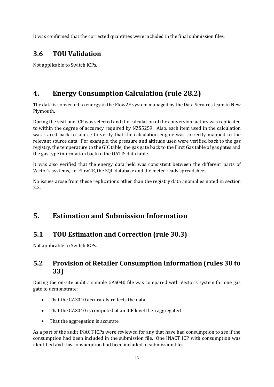It was confirmed that the corrected quantities were included in the final submission files.

#### <span id="page-12-0"></span>**3.6 TOU Validation**

Not applicable to Switch ICPs.

# <span id="page-12-1"></span>**4. Energy Consumption Calculation (rule 28.2)**

The data is converted to energy in the Flow2E system managed by the Data Services team in New Plymouth.

During the visit one ICP was selected and the calculation of the conversion factors was replicated to within the degree of accuracy required by NZS5259. Also, each item used in the calculation was traced back to source to verify that the calculation engine was correctly mapped to the relevant source data. For example, the pressure and altitude used were verified back to the gas registry, the temperature to the GIC table, the gas gate back to the First Gas table of gas gates and the gas type information back to the OATIS data table.

It was also verified that the energy data held was consistent between the different parts of Vector's systems, i.e. Flow2E, the SQL database and the meter reads spreadsheet.

No issues arose from these replications other than the registry data anomalies noted in section 2.2.

# <span id="page-12-2"></span>**5. Estimation and Submission Information**

#### <span id="page-12-3"></span>**5.1 TOU Estimation and Correction (rule 30.3)**

Not applicable to Switch ICPs.

#### <span id="page-12-4"></span>**5.2 Provision of Retailer Consumption Information (rules 30 to 33)**

During the on-site audit a sample GAS040 file was compared with Vector's system for one gas gate to demonstrate:

- That the GAS040 accurately reflects the data
- That the GAS040 is computed at an ICP level then aggregated
- That the aggregation is accurate

As a part of the audit INACT ICPs were reviewed for any that have had consumption to see if the consumption had been included in the submission file. One INACT ICP with consumption was identified and this consumption had been included in submission files.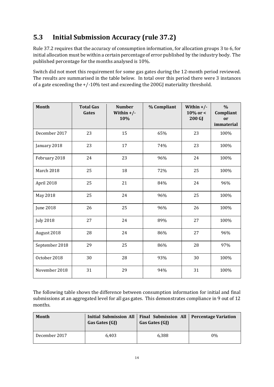# <span id="page-13-0"></span>**5.3 Initial Submission Accuracy (rule 37.2)**

Rule 37.2 requires that the accuracy of consumption information, for allocation groups 3 to 6, for initial allocation must be within a certain percentage of error published by the industry body. The published percentage for the months analysed is 10%.

Switch did not meet this requirement for some gas gates during the 12-month period reviewed. The results are summarised in the table below. In total over this period there were 3 instances of a gate exceeding the +/-10% test and exceeding the 200GJ materiality threshold.

| Month            | <b>Total Gas</b><br>Gates | <b>Number</b><br>Within $+/-$<br>10% | % Compliant | Within $+/-$<br>$10\%$ or $\lt$<br>200 GJ | $\frac{0}{0}$<br>Compliant<br>or<br>immaterial |
|------------------|---------------------------|--------------------------------------|-------------|-------------------------------------------|------------------------------------------------|
| December 2017    | 23                        | 15                                   | 65%         | 23                                        | 100%                                           |
| January 2018     | 23                        | 17                                   | 74%         | 23                                        | 100%                                           |
| February 2018    | 24                        | 23                                   | 96%         | 24                                        | 100%                                           |
| March 2018       | 25                        | 18                                   | 72%         | 25                                        | 100%                                           |
| April 2018       | 25                        | 21                                   | 84%         | 24                                        | 96%                                            |
| May 2018         | 25                        | 24                                   | 96%         | 25                                        | 100%                                           |
| <b>June 2018</b> | 26                        | 25                                   | 96%         | 26                                        | 100%                                           |
| <b>July 2018</b> | 27                        | 24                                   | 89%         | 27                                        | 100%                                           |
| August 2018      | 28                        | 24                                   | 86%         | 27                                        | 96%                                            |
| September 2018   | 29                        | 25                                   | 86%         | 28                                        | 97%                                            |
| October 2018     | 30                        | 28                                   | 93%         | 30                                        | 100%                                           |
| November 2018    | 31                        | 29                                   | 94%         | 31                                        | 100%                                           |

The following table shows the difference between consumption information for initial and final submissions at an aggregated level for all gas gates. This demonstrates compliance in 9 out of 12 months.

| Month         | Initial Submission All<br>Gas Gates (GJ) | Final Submission All   Percentage Variation<br>Gas Gates (GJ) |       |
|---------------|------------------------------------------|---------------------------------------------------------------|-------|
| December 2017 | 6.403                                    | 6.388                                                         | $0\%$ |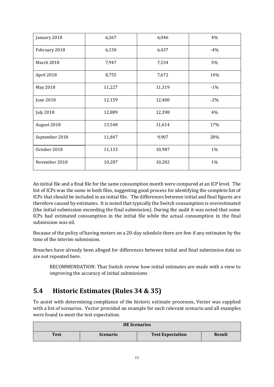| January 2018     | 6,267  | 6,046  | 4%    |
|------------------|--------|--------|-------|
| February 2018    | 6,150  | 6,437  | $-4%$ |
| March 2018       | 7,947  | 7,534  | 5%    |
| April 2018       | 8,755  | 7,672  | 14%   |
| May 2018         | 11,227 | 11,319 | $-1%$ |
| June 2018        | 12,159 | 12,400 | $-2%$ |
| <b>July 2018</b> | 12,889 | 12,398 | 4%    |
| August 2018      | 13,548 | 11,614 | 17%   |
| September 2018   | 11,847 | 9,907  | 20%   |
| October 2018     | 11,133 | 10,987 | 1%    |
| November 2018    | 10,287 | 10,202 | 1%    |

An initial file and a final file for the same consumption month were compared at an ICP level. The list of ICPs was the same in both files, suggesting good process for identifying the complete list of ICPs that should be included in an initial file. The differences between initial and final figures are therefore caused by estimates. It is noted that typically the Switch consumption is overestimated (the initial submission exceeding the final submission). During the audit it was noted that some ICPs had estimated consumption in the initial file while the actual consumption in the final submission was nil.

Because of the policy of having meters on a 20-day schedule there are few if any estimates by the time of the interim submission.

Breaches have already been alleged for differences between initial and final submission data so are not repeated here.

RECOMMENDATION: That Switch review how initial estimates are made with a view to improving the accuracy of initial submissions

#### <span id="page-14-0"></span>**5.4 Historic Estimates (Rules 34 & 35)**

To assist with determining compliance of the historic estimate processes, Vector was supplied with a list of scenarios. Vector provided an example for each relevant scenario and all examples were found to meet the test expectation.

| <b>HE Scenarios</b> |                 |                         |               |
|---------------------|-----------------|-------------------------|---------------|
| <b>Test</b>         | <b>Scenario</b> | <b>Test Expectation</b> | <b>Result</b> |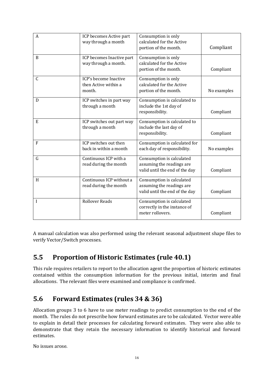| A | ICP becomes Active part<br>way through a month          | Consumption is only<br>calculated for the Active<br>portion of the month.                | Compliant   |
|---|---------------------------------------------------------|------------------------------------------------------------------------------------------|-------------|
| B | ICP becomes Inactive part<br>way through a month.       | Consumption is only<br>calculated for the Active<br>portion of the month.                | Compliant   |
| C | ICP's become Inactive<br>then Active within a<br>month. | Consumption is only<br>calculated for the Active<br>portion of the month.                | No examples |
| D | ICP switches in part way<br>through a month             | Consumption is calculated to<br>include the 1st day of<br>responsibility.                | Compliant   |
| E | ICP switches out part way<br>through a month            | Consumption is calculated to<br>include the last day of<br>responsibility.               | Compliant   |
| F | ICP switches out then<br>back in within a month         | Consumption is calculated for<br>each day of responsibility.                             | No examples |
| G | Continuous ICP with a<br>read during the month          | Consumption is calculated<br>assuming the readings are<br>valid until the end of the day | Compliant   |
| H | Continuous ICP without a<br>read during the month       | Consumption is calculated<br>assuming the readings are<br>valid until the end of the day | Compliant   |
| I | <b>Rollover Reads</b>                                   | Consumption is calculated<br>correctly in the instance of<br>meter rollovers.            | Compliant   |

A manual calculation was also performed using the relevant seasonal adjustment shape files to verify Vector/Switch processes.

#### <span id="page-15-0"></span>**5.5 Proportion of Historic Estimates (rule 40.1)**

This rule requires retailers to report to the allocation agent the proportion of historic estimates contained within the consumption information for the previous initial, interim and final allocations. The relevant files were examined and compliance is confirmed.

#### <span id="page-15-1"></span>**5.6 Forward Estimates (rules 34 & 36)**

Allocation groups 3 to 6 have to use meter readings to predict consumption to the end of the month. The rules do not prescribe how forward estimates are to be calculated. Vector were able to explain in detail their processes for calculating forward estimates. They were also able to demonstrate that they retain the necessary information to identify historical and forward estimates.

No issues arose.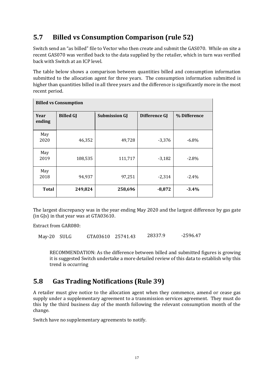# <span id="page-16-0"></span>**5.7 Billed vs Consumption Comparison (rule 52)**

Switch send an "as billed" file to Vector who then create and submit the GAS070. While on site a recent GAS070 was verified back to the data supplied by the retailer, which in turn was verified back with Switch at an ICP level.

The table below shows a comparison between quantities billed and consumption information submitted to the allocation agent for three years. The consumption information submitted is higher than quantities billed in all three years and the difference is significantly more in the most recent period.

| <b>Billed vs Consumption</b> |                  |                      |               |              |
|------------------------------|------------------|----------------------|---------------|--------------|
| Year<br>ending               | <b>Billed GJ</b> | <b>Submission GJ</b> | Difference GJ | % Difference |
| May<br>2020                  | 46,352           | 49,728               | $-3,376$      | $-6.8%$      |
| May<br>2019                  | 108,535          | 111,717              | $-3,182$      | $-2.8%$      |
| May<br>2018                  | 94,937           | 97,251               | $-2,314$      | $-2.4%$      |
| <b>Total</b>                 | 249,824          | 258,696              | $-8,872$      | $-3.4%$      |

The largest discrepancy was in the year ending May 2020 and the largest difference by gas gate (in GJs) in that year was at GTA03610.

Extract from GAR080:

May-20 SULG GTA03610 25741.43 28337.9 -2596.47

RECOMMENDATION: As the difference between billed and submitted figures is growing it is suggested Switch undertake a more detailed review of this data to establish why this trend is occurring

#### <span id="page-16-1"></span>**5.8 Gas Trading Notifications (Rule 39)**

A retailer must give notice to the allocation agent when they commence, amend or cease gas supply under a supplementary agreement to a transmission services agreement. They must do this by the third business day of the month following the relevant consumption month of the change.

Switch have no supplementary agreements to notify.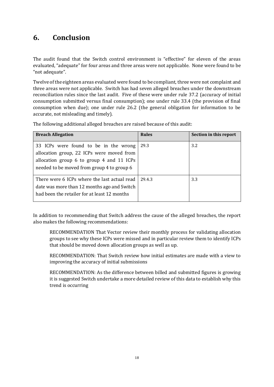## <span id="page-17-0"></span>**6. Conclusion**

The audit found that the Switch control environment is "effective" for eleven of the areas evaluated, "adequate" for four areas and three areas were not applicable. None were found to be "not adequate".

Twelve of the eighteen areas evaluated were found to be compliant, three were not complaint and three areas were not applicable. Switch has had seven alleged breaches under the downstream reconciliation rules since the last audit. Five of these were under rule 37.2 (accuracy of initial consumption submitted versus final consumption); one under rule 33.4 (the provision of final consumption when due); one under rule 26.2 (the general obligation for information to be accurate, not misleading and timely).

| <b>Breach Allegation</b>                                                                                                                                                      | <b>Rules</b> | Section in this report |
|-------------------------------------------------------------------------------------------------------------------------------------------------------------------------------|--------------|------------------------|
| 33 ICPs were found to be in the wrong<br>allocation group, 22 ICPs were moved from<br>allocation group 6 to group 4 and 11 ICPs<br>needed to be moved from group 4 to group 6 | 29.3         | 3.2                    |
| There were 6 ICPs where the last actual read<br>date was more than 12 months ago and Switch<br>had been the retailer for at least 12 months                                   | 29.4.3       | 3.3                    |

The following additional alleged breaches are raised because of this audit:

In addition to recommending that Switch address the cause of the alleged breaches, the report also makes the following recommendations:

RECOMMENDATION That Vector review their monthly process for validating allocation groups to see why these ICPs were missed and in particular review them to identify ICPs that should be moved down allocation groups as well as up.

RECOMMENDATION: That Switch review how initial estimates are made with a view to improving the accuracy of initial submissions

RECOMMENDATION: As the difference between billed and submitted figures is growing it is suggested Switch undertake a more detailed review of this data to establish why this trend is occurring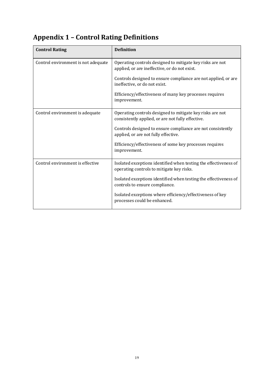# <span id="page-18-0"></span>**Appendix 1 – Control Rating Definitions**

| <b>Control Rating</b>               | <b>Definition</b>                                                                                              |
|-------------------------------------|----------------------------------------------------------------------------------------------------------------|
| Control environment is not adequate | Operating controls designed to mitigate key risks are not<br>applied, or are ineffective, or do not exist.     |
|                                     | Controls designed to ensure compliance are not applied, or are<br>ineffective, or do not exist.                |
|                                     | Efficiency/effectiveness of many key processes requires<br>improvement.                                        |
| Control environment is adequate     | Operating controls designed to mitigate key risks are not<br>consistently applied, or are not fully effective. |
|                                     | Controls designed to ensure compliance are not consistently<br>applied, or are not fully effective.            |
|                                     | Efficiency/effectiveness of some key processes requires<br>improvement.                                        |
| Control environment is effective    | Isolated exceptions identified when testing the effectiveness of<br>operating controls to mitigate key risks.  |
|                                     | Isolated exceptions identified when testing the effectiveness of<br>controls to ensure compliance.             |
|                                     | Isolated exceptions where efficiency/effectiveness of key<br>processes could be enhanced.                      |
|                                     |                                                                                                                |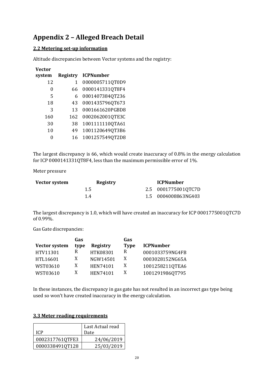## <span id="page-19-0"></span>**Appendix 2 – Alleged Breach Detail**

#### **2.2 Metering set-up information**

Altitude discrepancies between Vector systems and the registry:

| Vector |                 |                  |
|--------|-----------------|------------------|
| system | <b>Registry</b> | <b>ICPNumber</b> |
| 12     | 1               | 0000005711QT0D9  |
| 0      | 66              | 0000141331QT8F4  |
| 5      | 6               | 0001407384QT236  |
| 18     | 43              | 0001435796QT673  |
| 3      | 13              | 0001661620PGBD8  |
| 160    | 162             | 0002062001QTE3C  |
| 30     | 38              | 1001111110QTA61  |
| 10     | 49              | 1001120649QT3B6  |
|        | 16              | 1001257549QT2D8  |

The largest discrepancy is 66, which would create inaccuracy of 0.8% in the energy calculation for ICP 0000141331QT8F4, less than the maximum permissible error of 1%.

#### Meter pressure

| Vector system | Registry | <b>ICPNumber</b>    |
|---------------|----------|---------------------|
|               | 1.5      | 2.5 0001775001QTC7D |
|               | 14       | 1.5 0004008863NG403 |

The largest discrepancy is 1.0, which will have created an inaccuracy for ICP 0001775001QTC7D of 0.99%.

Gas Gate discrepancies:

|               | Gas  |                 | Gas         |                  |
|---------------|------|-----------------|-------------|------------------|
| Vector system | type | <b>Registry</b> | <b>Type</b> | <b>ICPNumber</b> |
| HTV11301      | R    | HTK08301        | R           | 0001033759NG4FB  |
| HTL16601      | X    | NGW14501        | X           | 0003028152NG65A  |
| WST03610      | X    | HEN74101        | X           | 1001258211QTEA6  |
| WST03610      | X    | HEN74101        | X           | 1001291986QT795  |

In these instances, the discrepancy in gas gate has not resulted in an incorrect gas type being used so won't have created inaccuracy in the energy calculation.

#### **3.3 Meter reading requirements**

| ICP             | Last Actual read<br>Date |
|-----------------|--------------------------|
| 0002317761QTFE3 | 24/06/2019               |
| 0000338491QT128 | 25/03/2019               |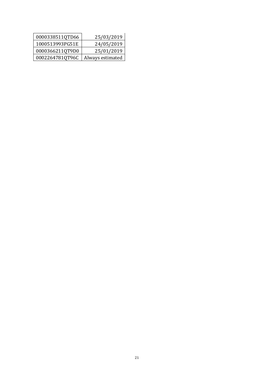| 0000338511QTD66 | 25/03/2019       |
|-----------------|------------------|
| 1000513993PG51E | 24/05/2019       |
| 0000366211QT9D0 | 25/01/2019       |
| 0002264781QT96C | Always estimated |